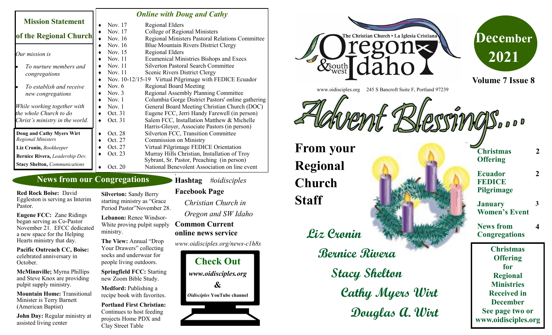|                                      | <b>Online with Doug and Cathy</b> |                                                         |
|--------------------------------------|-----------------------------------|---------------------------------------------------------|
| <b>Mission Statement</b>             | Nov. 17                           | <b>Regional Elders</b>                                  |
|                                      | Nov. 17                           | College of Regional Ministers                           |
| of the Regional Church               | Nov. 16                           | Regional Ministers Pastoral Relations Committee         |
|                                      | Nov. 16                           | <b>Blue Mountain Rivers District Clergy</b>             |
| Our mission is                       | Nov. 15                           | <b>Regional Elders</b>                                  |
|                                      | Nov. 11                           | <b>Ecumenical Ministries Bishops and Execs</b>          |
| To nurture members and               | Nov. 11                           | <b>Silverton Pastoral Search Committee</b>              |
| congregations                        | Nov. 11                           | Scenic Rivers District Clergy                           |
|                                      |                                   | Nov. 10-12/15-19 Virtual Pilgrimage with FEDICE Ecuador |
| To establish and receive             | Nov. $6$                          | <b>Regional Board Meeting</b>                           |
| new congregations                    | Nov. $3$                          | Regional Assembly Planning Committee                    |
|                                      | Nov. $1$                          | Columbia Gorge District Pastors' online gathering       |
| While working together with          | Nov. $1$                          | General Board Meeting Christian Church (DOC)            |
| the whole Church to do               | Oct. 31                           | Eugene FCC, Jerri Handy Farewell (in person)            |
| Christ's ministry in the world.      | Oct. 31                           | Salem FCC, Installation Matthew & Michelle              |
|                                      |                                   | Harris-Gloyer, Associate Pastors (in person)            |
| Doug and Cathy Myers Wirt            | Oct. 28                           | Silverton FCC, Transition Committee                     |
| <b>Regional Ministers</b>            | Oct. 27                           | <b>Commission on Ministry</b>                           |
| Liz Cronin, Bookkeeper               | Oct. 27                           | Virtual Pilgrimage FEDICE Orientation                   |
| Bernice Rivera, Leadership Dev.      | Oct. 23                           | Murray Hills Christian, Installation of Troy            |
|                                      |                                   | Sybrant, Sr. Pastor, Preaching (in person)              |
| <b>Stacy Shelton, Communications</b> | Oct. 20                           | National Benevolent Association on line event           |

## **News from our Congregations**

**Red Rock Boise:** David Eggleston is serving as Interim Pastor.

**Eugene FCC:** Zane Ridings began serving as Co-Pastor November 21. EFCC dedicated a new space for the Helping Hearts ministry that day.

**Pacific Outreach CC, Boise:**  celebrated anniversary in October.

**McMinnville;** Myrna Phillips and Steve Knox are providing pulpit supply ministry.

**Mountain Home:** Transitional Minister is Terry Barnett (American Baptist)

**John Day:** Regular ministry at assisted living center

**Silverton:** Sandy Berry starting ministry as "Grace Period Pastor"November 28.

**Lebanon:** Renee Windsor-White proving pulpit supply ministry.

**The View:** Annual "Drop Your Drawers" collecting socks and underwear for people living outdoors.

**Springfield FCC:** Starting new Zoom Bible Study.

**Medford:** Publishing a recipe book with favorites.

**Portland First Christian:**  Continues to host feeding projects Home PDX and Clay Street Table

**Hashtag** *#oidisciples* **Facebook Page** 

**1**

*Christian Church in Oregon and SW Idaho* **Common Current** 

**online news service**

*www.oidisciples.org/news-c1h8s*